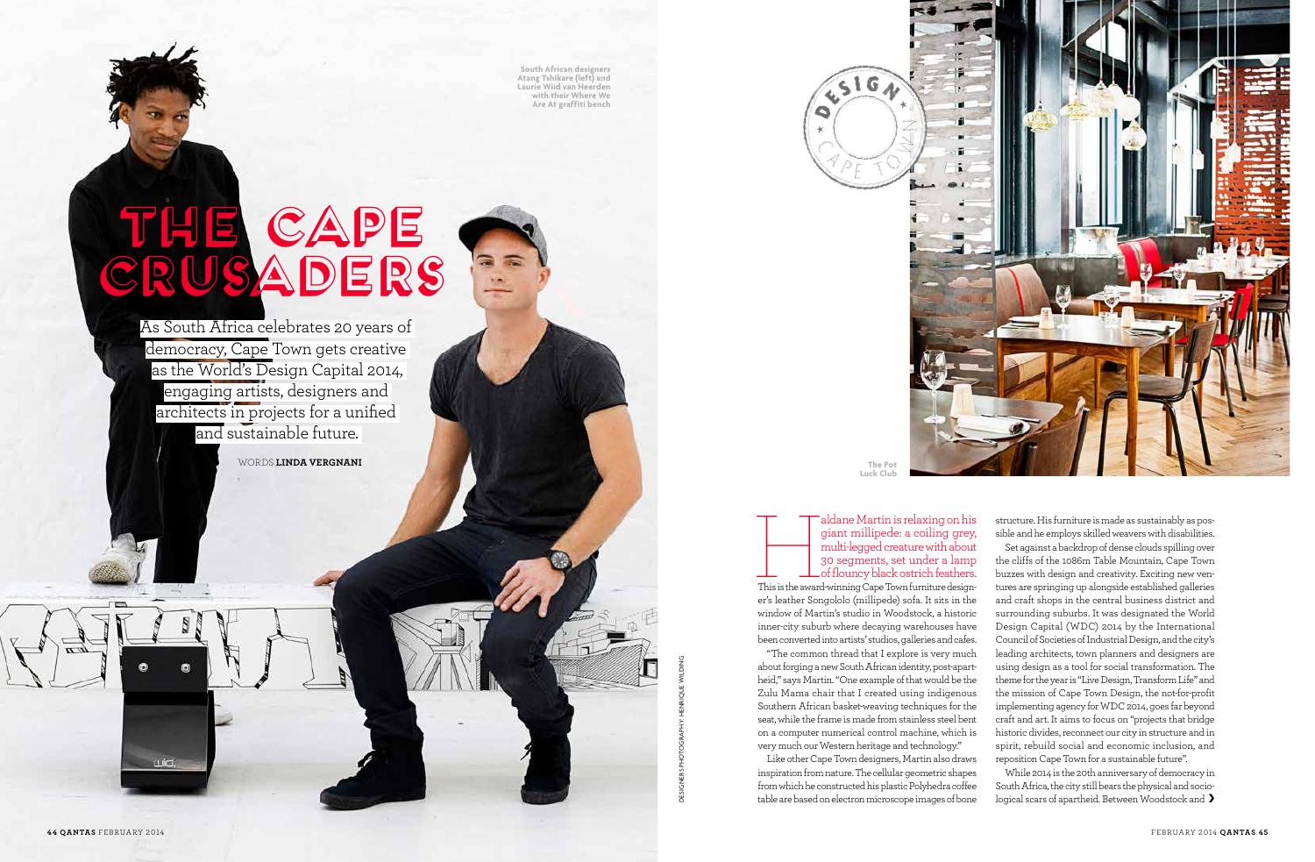As South Africa celebrates 20 years of democracy, Cape Town gets creative as the World's Design Capital 2014, engaging artists, designers and architects in projects for a unified and sustainable future.

DESIGNERS Photography: Henrique Wilding

DESIGNERS

aldane Martin is relaxing on his giant millipede: a coiling grey, multi-legged creature with about 30 segments, set under a lamp of flouncy black ostrich feathers.<br>This is the award-winning Cape Town furniture designgiant millipede: a coiling grey, multi-legged creature with about 30 segments, set under a lamp of flouncy black ostrich feathers.

**South African designers Atang Tshikare (left) and Laurie Wiid van Heerden with their Where We Are At graffiti bench** 

# THE CAPE CRUSADERS

Words **Linda Vergnani**

er's leather Songololo (millipede) sofa. It sits in the window of Martin's studio in Woodstock, a historic inner-city suburb where decaying warehouses have been converted into artists' studios, galleries and cafes.

"The common thread that I explore is very much about forging a new South African identity, post-apartheid," says Martin. "One example of that would be the Zulu Mama chair that I created using indigenous Southern African basket-weaving techniques for the seat, while the frame is made from stainless steel bent on a computer numerical control machine, which is very much our Western heritage and technology."

> While 2014 is the 20th anniversary of democracy in South Africa, the city still bears the physical and sociological scars of apartheid. Between Woodstock and >

**The Po Luck Club**

 $\sqrt{516}$ 

Like other Cape Town designers, Martin also draws inspiration from nature. The cellular geometric shapes from which he constructed his plastic Polyhedra coffee table are based on electron microscope images of bone

wid.



structure. His furniture is made as sustainably as possible and he employs skilled weavers with disabilities.

Set against a backdrop of dense clouds spilling over the cliffs of the 1086m Table Mountain, Cape Town buzzes with design and creativity. Exciting new ventures are springing up alongside established galleries and craft shops in the central business district and surrounding suburbs. It was designated the World Design Capital (WDC) 2014 by the International Council of Societies of Industrial Design, and the city's leading architects, town planners and designers are using design as a tool for social transformation. The theme for the year is "Live Design, Transform Life" and the mission of Cape Town Design, the not-for-profit implementing agency for WDC 2014, goes far beyond craft and art. It aims to focus on "projects that bridge historic divides, reconnect our city in structure and in spirit, rebuild social and economic inclusion, and reposition Cape Town for a sustainable future".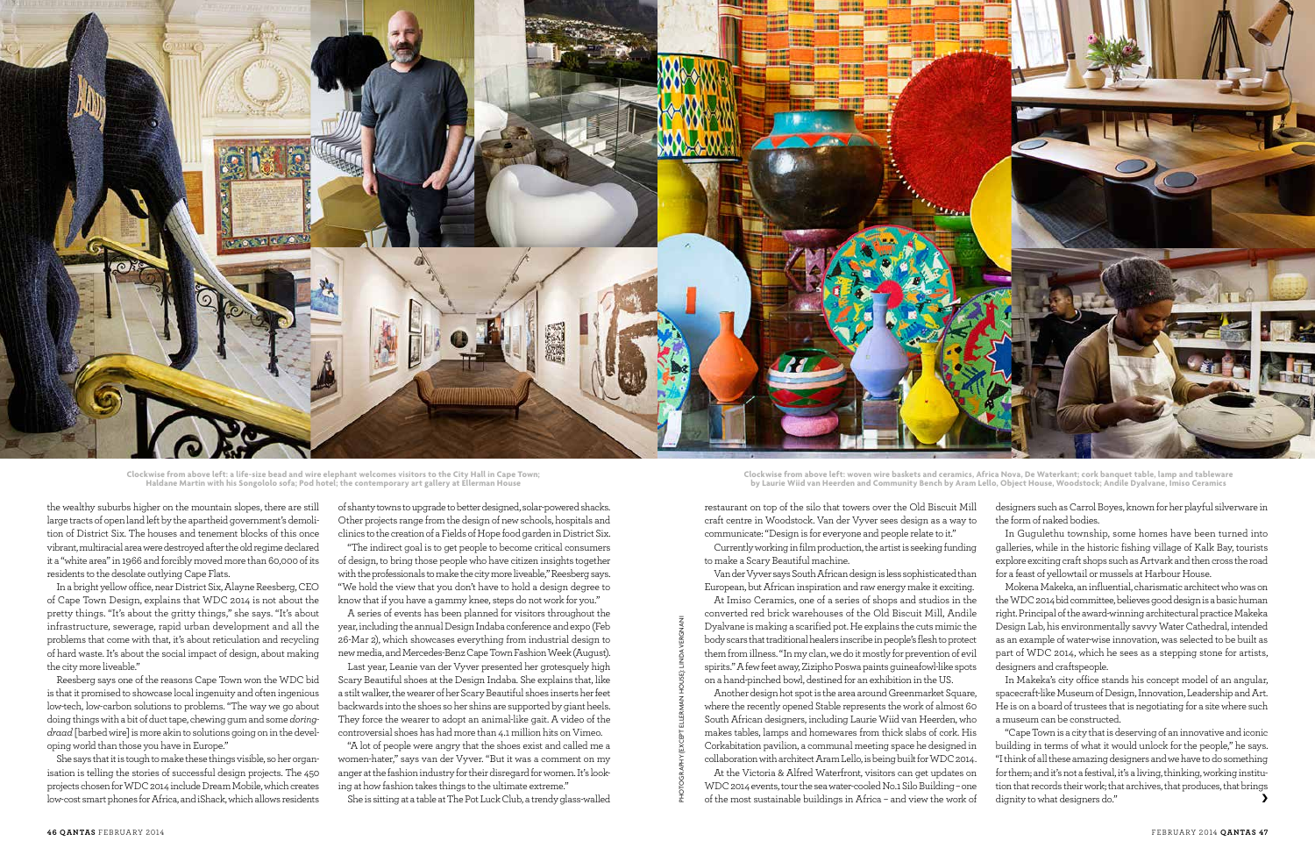

photography (except ellerman house): linda vergnani

restaurant on top of the silo that towers over the Old Biscuit Mill craft centre in Woodstock. Van der Vyver sees design as a way to communicate: "Design is for everyone and people relate to it."

Currently working in film production, the artist is seeking funding to make a Scary Beautiful machine.

Van der Vyver says South African design is less sophisticated than European, but African inspiration and raw energy make it exciting.

At Imiso Ceramics, one of a series of shops and studios in the converted red brick warehouses of the Old Biscuit Mill, Andile Dyalvane is making a scarified pot. He explains the cuts mimic the body scars that traditional healers inscribe in people's flesh to protect them from illness. "In my clan, we do it mostly for prevention of evil spirits." A few feet away, Zizipho Poswa paints guineafowl-like spots on a hand-pinched bowl, destined for an exhibition in the US.

Another design hot spot is the area around Greenmarket Square, where the recently opened Stable represents the work of almost 60 South African designers, including Laurie Wiid van Heerden, who makes tables, lamps and homewares from thick slabs of cork. His Corkabitation pavilion, a communal meeting space he designed in collaboration with architect Aram Lello, is being built for WDC 2014.

At the Victoria & Alfred Waterfront, visitors can get updates on WDC 2014 events, tour the sea water-cooled No.1 Silo Building – one of the most sustainable buildings in Africa – and view the work of designers such as Carrol Boyes, known for her playful silverware in the form of naked bodies.

In Gugulethu township, some homes have been turned into galleries, while in the historic fishing village of Kalk Bay, tourists explore exciting craft shops such as Artvark and then cross the road for a feast of yellowtail or mussels at Harbour House.

Mokena Makeka, an influential, charismatic architect who was on the WDC 2014 bid committee, believes good design is a basic human right. Principal of the award-winning architectural practice Makeka Design Lab, his environmentally savvy Water Cathedral, intended as an example of water-wise innovation, was selected to be built as part of WDC 2014, which he sees as a stepping stone for artists, designers and craftspeople.

In Makeka's city office stands his concept model of an angular, spacecraft-like Museum of Design, Innovation, Leadership and Art. He is on a board of trustees that is negotiating for a site where such a museum can be constructed.

"Cape Town is a city that is deserving of an innovative and iconic building in terms of what it would unlock for the people," he says. "I think of all these amazing designers and we have to do something for them; and it's not a festival, it's a living, thinking, working institution that records their work; that archives, that produces, that brings dignity to what designers do."

the wealthy suburbs higher on the mountain slopes, there are still large tracts of open land left by the apartheid government's demolition of District Six. The houses and tenement blocks of this once vibrant, multiracial area were destroyed after the old regime declared it a "white area" in 1966 and forcibly moved more than 60,000 of its residents to the desolate outlying Cape Flats.

In a bright yellow office, near District Six, Alayne Reesberg, CEO of Cape Town Design, explains that WDC 2014 is not about the pretty things. "It's about the gritty things," she says. "It's about infrastructure, sewerage, rapid urban development and all the problems that come with that, it's about reticulation and recycling of hard waste. It's about the social impact of design, about making the city more liveable."

Reesberg says one of the reasons Cape Town won the WDC bid is that it promised to showcase local ingenuity and often ingenious low-tech, low-carbon solutions to problems. "The way we go about doing things with a bit of duct tape, chewing gum and some *doringdraad* [barbed wire] is more akin to solutions going on in the developing world than those you have in Europe."

She says that it is tough to make these things visible, so her organisation is telling the stories of successful design projects. The 450 projects chosen for WDC 2014 include Dream Mobile, which creates low-cost smart phones for Africa, and iShack, which allows residents

of shanty towns to upgrade to better designed, solar-powered shacks. Other projects range from the design of new schools, hospitals and clinics to the creation of a Fields of Hope food garden in District Six.

"The indirect goal is to get people to become critical consumers of design, to bring those people who have citizen insights together with the professionals to make the city more liveable," Reesberg says. "We hold the view that you don't have to hold a design degree to know that if you have a gammy knee, steps do not work for you."

A series of events has been planned for visitors throughout the year, including the annual Design Indaba conference and expo (Feb 26-Mar 2), which showcases everything from industrial design to new media, and Mercedes-Benz Cape Town Fashion Week (August).

Last year, Leanie van der Vyver presented her grotesquely high Scary Beautiful shoes at the Design Indaba. She explains that, like a stilt walker, the wearer of her Scary Beautiful shoes inserts her feet backwards into the shoes so her shins are supported by giant heels. They force the wearer to adopt an animal-like gait. A video of the controversial shoes has had more than 4.1 million hits on Vimeo.

"A lot of people were angry that the shoes exist and called me a women-hater," says van der Vyver. "But it was a comment on my anger at the fashion industry for their disregard for women. It's looking at how fashion takes things to the ultimate extreme."

She is sitting at a table at The Pot Luck Club, a trendy glass-walled

**Clockwise from above left: a life-size bead and wire elephant welcomes visitors to the City Hall in Cape Town; Haldane Martin with his Songololo sofa; Pod hotel; the contemporary art gallery at Ellerman House**

**Clockwise from above left: woven wire baskets and ceramics, Africa Nova, De Waterkant; cork banquet table, lamp and tableware by Laurie Wiid van Heerden and Community Bench by Aram Lello, Object House, Woodstock; Andile Dyalvane, Imiso Ceramics**